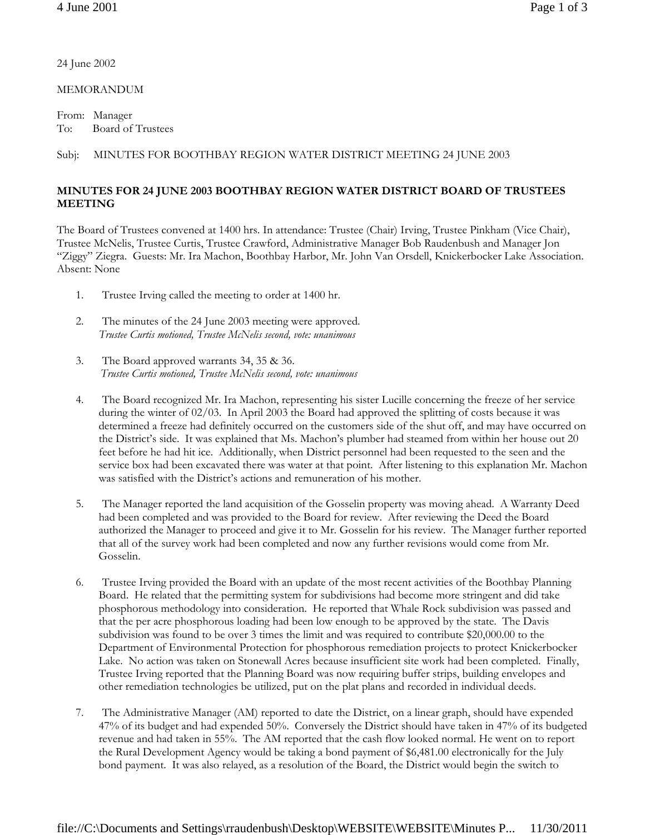24 June 2002

MEMORANDUM

From: Manager To: Board of Trustees

## Subj: MINUTES FOR BOOTHBAY REGION WATER DISTRICT MEETING 24 JUNE 2003

## **MINUTES FOR 24 JUNE 2003 BOOTHBAY REGION WATER DISTRICT BOARD OF TRUSTEES MEETING**

The Board of Trustees convened at 1400 hrs. In attendance: Trustee (Chair) Irving, Trustee Pinkham (Vice Chair), Trustee McNelis, Trustee Curtis, Trustee Crawford, Administrative Manager Bob Raudenbush and Manager Jon "Ziggy" Ziegra. Guests: Mr. Ira Machon, Boothbay Harbor, Mr. John Van Orsdell, Knickerbocker Lake Association. Absent: None

- 1. Trustee Irving called the meeting to order at 1400 hr.
- 2. The minutes of the 24 June 2003 meeting were approved. *Trustee Curtis motioned, Trustee McNelis second, vote: unanimous*
- 3. The Board approved warrants 34, 35 & 36. *Trustee Curtis motioned, Trustee McNelis second, vote: unanimous*
- 4. The Board recognized Mr. Ira Machon, representing his sister Lucille concerning the freeze of her service during the winter of 02/03. In April 2003 the Board had approved the splitting of costs because it was determined a freeze had definitely occurred on the customers side of the shut off, and may have occurred on the District's side. It was explained that Ms. Machon's plumber had steamed from within her house out 20 feet before he had hit ice. Additionally, when District personnel had been requested to the seen and the service box had been excavated there was water at that point. After listening to this explanation Mr. Machon was satisfied with the District's actions and remuneration of his mother.
- 5. The Manager reported the land acquisition of the Gosselin property was moving ahead. A Warranty Deed had been completed and was provided to the Board for review. After reviewing the Deed the Board authorized the Manager to proceed and give it to Mr. Gosselin for his review. The Manager further reported that all of the survey work had been completed and now any further revisions would come from Mr. Gosselin.
- 6. Trustee Irving provided the Board with an update of the most recent activities of the Boothbay Planning Board. He related that the permitting system for subdivisions had become more stringent and did take phosphorous methodology into consideration. He reported that Whale Rock subdivision was passed and that the per acre phosphorous loading had been low enough to be approved by the state. The Davis subdivision was found to be over 3 times the limit and was required to contribute \$20,000.00 to the Department of Environmental Protection for phosphorous remediation projects to protect Knickerbocker Lake. No action was taken on Stonewall Acres because insufficient site work had been completed. Finally, Trustee Irving reported that the Planning Board was now requiring buffer strips, building envelopes and other remediation technologies be utilized, put on the plat plans and recorded in individual deeds.
- 7. The Administrative Manager (AM) reported to date the District, on a linear graph, should have expended 47% of its budget and had expended 50%. Conversely the District should have taken in 47% of its budgeted revenue and had taken in 55%. The AM reported that the cash flow looked normal. He went on to report the Rural Development Agency would be taking a bond payment of \$6,481.00 electronically for the July bond payment. It was also relayed, as a resolution of the Board, the District would begin the switch to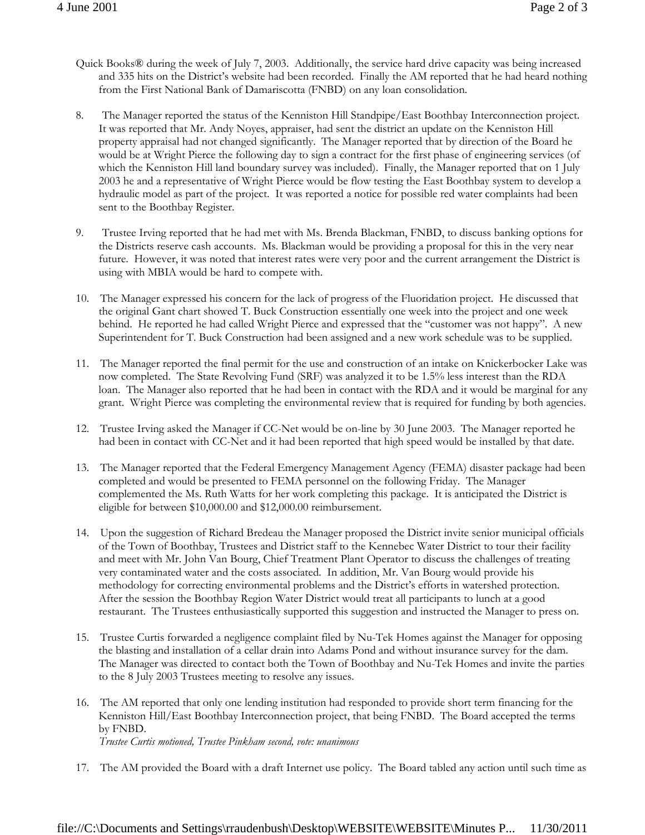- Quick Books® during the week of July 7, 2003. Additionally, the service hard drive capacity was being increased and 335 hits on the District's website had been recorded. Finally the AM reported that he had heard nothing from the First National Bank of Damariscotta (FNBD) on any loan consolidation.
- 8. The Manager reported the status of the Kenniston Hill Standpipe/East Boothbay Interconnection project. It was reported that Mr. Andy Noyes, appraiser, had sent the district an update on the Kenniston Hill property appraisal had not changed significantly. The Manager reported that by direction of the Board he would be at Wright Pierce the following day to sign a contract for the first phase of engineering services (of which the Kenniston Hill land boundary survey was included). Finally, the Manager reported that on 1 July 2003 he and a representative of Wright Pierce would be flow testing the East Boothbay system to develop a hydraulic model as part of the project. It was reported a notice for possible red water complaints had been sent to the Boothbay Register.
- 9. Trustee Irving reported that he had met with Ms. Brenda Blackman, FNBD, to discuss banking options for the Districts reserve cash accounts. Ms. Blackman would be providing a proposal for this in the very near future. However, it was noted that interest rates were very poor and the current arrangement the District is using with MBIA would be hard to compete with.
- 10. The Manager expressed his concern for the lack of progress of the Fluoridation project. He discussed that the original Gant chart showed T. Buck Construction essentially one week into the project and one week behind. He reported he had called Wright Pierce and expressed that the "customer was not happy". A new Superintendent for T. Buck Construction had been assigned and a new work schedule was to be supplied.
- 11. The Manager reported the final permit for the use and construction of an intake on Knickerbocker Lake was now completed. The State Revolving Fund (SRF) was analyzed it to be 1.5% less interest than the RDA loan. The Manager also reported that he had been in contact with the RDA and it would be marginal for any grant. Wright Pierce was completing the environmental review that is required for funding by both agencies.
- 12. Trustee Irving asked the Manager if CC-Net would be on-line by 30 June 2003. The Manager reported he had been in contact with CC-Net and it had been reported that high speed would be installed by that date.
- 13. The Manager reported that the Federal Emergency Management Agency (FEMA) disaster package had been completed and would be presented to FEMA personnel on the following Friday. The Manager complemented the Ms. Ruth Watts for her work completing this package. It is anticipated the District is eligible for between \$10,000.00 and \$12,000.00 reimbursement.
- 14. Upon the suggestion of Richard Bredeau the Manager proposed the District invite senior municipal officials of the Town of Boothbay, Trustees and District staff to the Kennebec Water District to tour their facility and meet with Mr. John Van Bourg, Chief Treatment Plant Operator to discuss the challenges of treating very contaminated water and the costs associated. In addition, Mr. Van Bourg would provide his methodology for correcting environmental problems and the District's efforts in watershed protection. After the session the Boothbay Region Water District would treat all participants to lunch at a good restaurant. The Trustees enthusiastically supported this suggestion and instructed the Manager to press on.
- 15. Trustee Curtis forwarded a negligence complaint filed by Nu-Tek Homes against the Manager for opposing the blasting and installation of a cellar drain into Adams Pond and without insurance survey for the dam. The Manager was directed to contact both the Town of Boothbay and Nu-Tek Homes and invite the parties to the 8 July 2003 Trustees meeting to resolve any issues.
- 16. The AM reported that only one lending institution had responded to provide short term financing for the Kenniston Hill/East Boothbay Interconnection project, that being FNBD. The Board accepted the terms by FNBD. *Trustee Curtis motioned, Trustee Pinkham second, vote: unanimous*
- 17. The AM provided the Board with a draft Internet use policy. The Board tabled any action until such time as